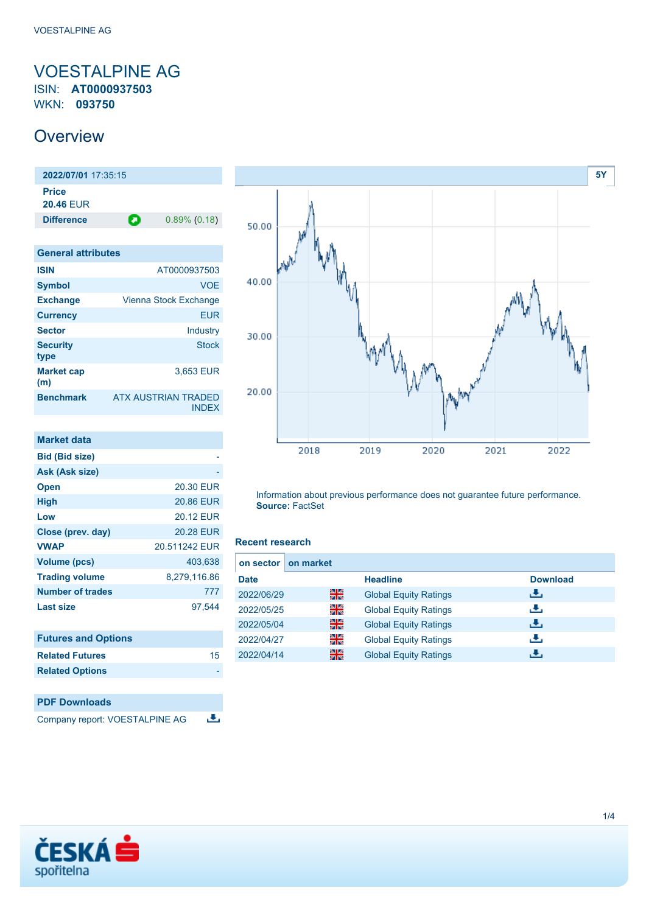### <span id="page-0-0"></span>VOESTALPINE AG ISIN: **AT0000937503** WKN: **093750**

## **Overview**

**2022/07/01** 17:35:15 **Price 20.46** EUR **Difference 0.89% (0.18)** 

| <b>General attributes</b> |                                     |
|---------------------------|-------------------------------------|
| <b>ISIN</b>               | AT0000937503                        |
| <b>Symbol</b>             | <b>VOE</b>                          |
| <b>Exchange</b>           | Vienna Stock Exchange               |
| <b>Currency</b>           | EUR                                 |
| <b>Sector</b>             | Industry                            |
| <b>Security</b><br>type   | <b>Stock</b>                        |
| <b>Market cap</b><br>(m)  | 3.653 EUR                           |
| <b>Benchmark</b>          | ATX AUSTRIAN TRADED<br><b>INDEX</b> |

| <b>Market data</b>         |                  |
|----------------------------|------------------|
| <b>Bid (Bid size)</b>      |                  |
| Ask (Ask size)             |                  |
| <b>Open</b>                | <b>20.30 EUR</b> |
| <b>High</b>                | 20.86 EUR        |
| Low                        | <b>20.12 EUR</b> |
| Close (prev. day)          | <b>20.28 EUR</b> |
| <b>VWAP</b>                | 20.511242 EUR    |
| <b>Volume (pcs)</b>        | 403,638          |
| <b>Trading volume</b>      | 8,279,116.86     |
| <b>Number of trades</b>    | 777              |
| <b>Last size</b>           | 97,544           |
| <b>Futures and Options</b> |                  |
| <b>Related Futures</b>     | 15               |
| <b>Related Options</b>     |                  |

### **PDF Downloads**

Company report: VOESTALPINE AG 违



Information about previous performance does not guarantee future performance. **Source:** FactSet

### **Recent research**

| on sector   | on market |                              |                 |
|-------------|-----------|------------------------------|-----------------|
| <b>Date</b> |           | <b>Headline</b>              | <b>Download</b> |
| 2022/06/29  | 꾊         | <b>Global Equity Ratings</b> | æ,              |
| 2022/05/25  | 을         | <b>Global Equity Ratings</b> | æ,              |
| 2022/05/04  | 꾊         | <b>Global Equity Ratings</b> | æ,              |
| 2022/04/27  | 을         | <b>Global Equity Ratings</b> | æ,              |
| 2022/04/14  | 噐         | <b>Global Equity Ratings</b> | æ,              |

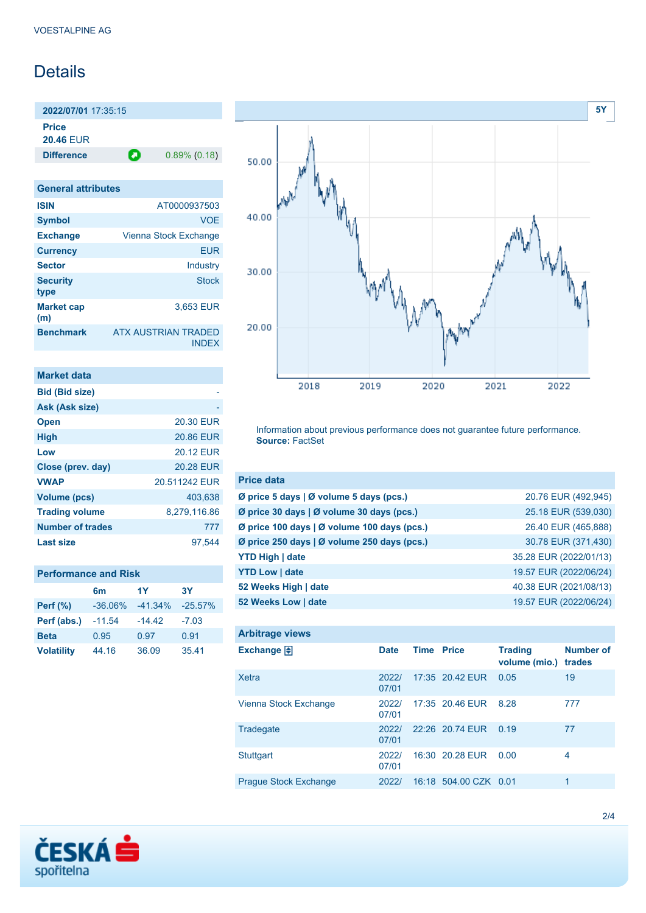# Details

**2022/07/01** 17:35:15 **Price**

**20.46** EUR

**Difference 0.89% (0.18)** 

| <b>General attributes</b> |                                            |
|---------------------------|--------------------------------------------|
| <b>ISIN</b>               | AT0000937503                               |
| <b>Symbol</b>             | <b>VOE</b>                                 |
| <b>Exchange</b>           | Vienna Stock Exchange                      |
| <b>Currency</b>           | <b>EUR</b>                                 |
| <b>Sector</b>             | Industry                                   |
| <b>Security</b><br>type   | <b>Stock</b>                               |
| <b>Market cap</b><br>(m)  | 3,653 EUR                                  |
| <b>Benchmark</b>          | <b>ATX AUSTRIAN TRADED</b><br><b>INDEX</b> |

| <b>Market data</b>      |                  |
|-------------------------|------------------|
| <b>Bid (Bid size)</b>   |                  |
| Ask (Ask size)          |                  |
| <b>Open</b>             | 20.30 EUR        |
| <b>High</b>             | 20.86 EUR        |
| Low                     | 20.12 FUR        |
| Close (prev. day)       | <b>20.28 EUR</b> |
| <b>VWAP</b>             | 20.511242 EUR    |
| Volume (pcs)            | 403.638          |
| <b>Trading volume</b>   | 8,279,116.86     |
| <b>Number of trades</b> | 777              |
| Last size               | 97.544           |

| <b>Performance and Risk</b> |  |
|-----------------------------|--|
|-----------------------------|--|

|                   | 6m         | 1Y        | 3Y        |
|-------------------|------------|-----------|-----------|
| <b>Perf</b> (%)   | $-36.06\%$ | $-41.34%$ | $-25.57%$ |
| Perf (abs.)       | $-11.54$   | $-14.42$  | $-7.03$   |
| <b>Beta</b>       | 0.95       | 0.97      | 0.91      |
| <b>Volatility</b> | 44.16      | 36.09     | 35.41     |



Information about previous performance does not guarantee future performance. **Source:** FactSet

| <b>Price data</b>                           |                        |
|---------------------------------------------|------------------------|
| Ø price 5 days   Ø volume 5 days (pcs.)     | 20.76 EUR (492,945)    |
| Ø price 30 days   Ø volume 30 days (pcs.)   | 25.18 EUR (539,030)    |
| Ø price 100 days   Ø volume 100 days (pcs.) | 26.40 EUR (465,888)    |
| Ø price 250 days   Ø volume 250 days (pcs.) | 30.78 EUR (371,430)    |
| <b>YTD High   date</b>                      | 35.28 EUR (2022/01/13) |
| <b>YTD Low   date</b>                       | 19.57 EUR (2022/06/24) |
| 52 Weeks High   date                        | 40.38 EUR (2021/08/13) |
| 52 Weeks Low   date                         | 19.57 EUR (2022/06/24) |

| <b>Arbitrage views</b>       |                |                   |                       |                                 |                            |
|------------------------------|----------------|-------------------|-----------------------|---------------------------------|----------------------------|
| Exchange $\Box$              | <b>Date</b>    | <b>Time Price</b> |                       | <b>Trading</b><br>volume (mio.) | <b>Number of</b><br>trades |
| Xetra                        | 2022/<br>07/01 |                   | 17:35 20.42 EUR       | 0.05                            | 19                         |
| Vienna Stock Exchange        | 2022/<br>07/01 |                   | 17:35 20.46 EUR       | 8.28                            | 777                        |
| Tradegate                    | 2022/<br>07/01 |                   | 22:26 20.74 EUR       | 0.19                            | 77                         |
| <b>Stuttgart</b>             | 2022/<br>07/01 |                   | 16:30 20.28 EUR       | 0.00                            | 4                          |
| <b>Prague Stock Exchange</b> | 2022/          |                   | 16:18 504.00 CZK 0.01 |                                 | 1                          |

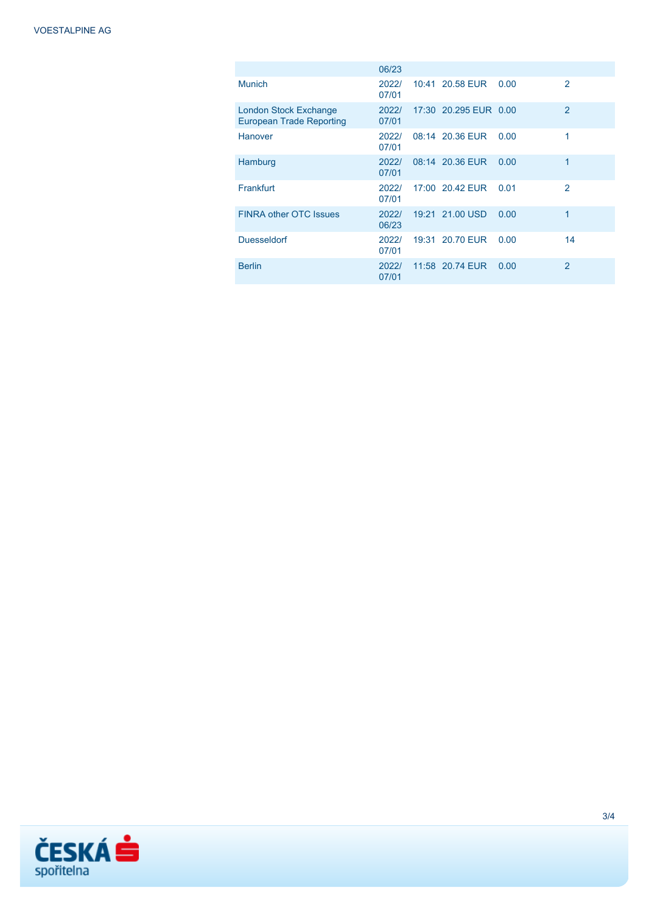|                                                                 | 06/23          |                       |      |                |
|-----------------------------------------------------------------|----------------|-----------------------|------|----------------|
| <b>Munich</b>                                                   | 2022/<br>07/01 | 10:41 20.58 EUR       | 0.00 | $\mathcal{P}$  |
| <b>London Stock Exchange</b><br><b>European Trade Reporting</b> | 2022/<br>07/01 | 17:30 20.295 EUR 0.00 |      | $\overline{2}$ |
| Hanover                                                         | 2022/<br>07/01 | 08:14 20.36 EUR       | 0.00 | 1              |
| Hamburg                                                         | 2022/<br>07/01 | 08:14 20.36 EUR       | 0.00 | 1              |
| Frankfurt                                                       | 2022/<br>07/01 | 17:00 20.42 EUR       | 0.01 | $\mathfrak{p}$ |
| <b>FINRA other OTC Issues</b>                                   | 2022/<br>06/23 | 19:21 21.00 USD       | 0.00 | 1              |
| <b>Duesseldorf</b>                                              | 2022/<br>07/01 | 19:31 20.70 EUR       | 0.00 | 14             |
| <b>Berlin</b>                                                   | 2022/<br>07/01 | 11:58 20.74 EUR       | 0.00 | $\overline{2}$ |